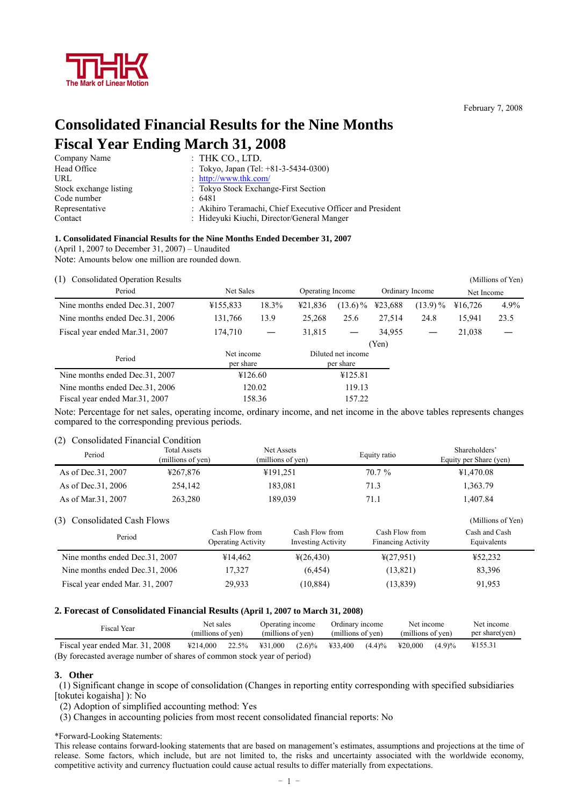

February 7, 2008

# **Consolidated Financial Results for the Nine Months Fiscal Year Ending March 31, 2008**

| Company Name           | $:$ THK CO., LTD.                                          |
|------------------------|------------------------------------------------------------|
| Head Office            | : Tokyo, Japan (Tel: $+81-3-5434-0300$ )                   |
| URL                    | : http://www.thk.com/                                      |
| Stock exchange listing | : Tokyo Stock Exchange-First Section                       |
| Code number            | : 6481                                                     |
| Representative         | : Akihiro Teramachi, Chief Executive Officer and President |
| Contact                | : Hideyuki Kiuchi, Director/General Manger                 |
|                        |                                                            |

#### **1. Consolidated Financial Results for the Nine Months Ended December 31, 2007**

(April 1, 2007 to December 31, 2007) – Unaudited

Note: Amounts below one million are rounded down.

(1) Consolidated Operation Results (Millions of Yen)

| $(1)$ Consolidated Operation Results |           |        |                  |                                 |         |                 |            | $\frac{1}{1}$ |
|--------------------------------------|-----------|--------|------------------|---------------------------------|---------|-----------------|------------|---------------|
| Period                               | Net Sales |        | Operating Income |                                 |         | Ordinary Income | Net Income |               |
| Nine months ended Dec. 31, 2007      | ¥155,833  | 18.3%  | ¥21,836          | $(13.6)\%$                      | ¥23,688 | $(13.9)\%$      | ¥16.726    | 4.9%          |
| Nine months ended Dec. 31, 2006      | 131,766   | 13.9   | 25,268           | 25.6                            | 27,514  | 24.8            | 15,941     | 23.5          |
| Fiscal year ended Mar. 31, 2007      | 174.710   |        | 31,815           | —                               | 34,955  |                 | 21,038     |               |
|                                      |           |        |                  |                                 | (Yen)   |                 |            |               |
| Net income<br>Period<br>per share    |           |        |                  | Diluted net income<br>per share |         |                 |            |               |
| Nine months ended Dec.31, 2007       | ¥126.60   |        |                  | ¥125.81                         |         |                 |            |               |
| Nine months ended Dec.31, 2006       |           | 120.02 |                  | 119.13                          |         |                 |            |               |
| Fiscal year ended Mar.31, 2007       |           | 158.36 |                  | 157.22                          |         |                 |            |               |

Note: Percentage for net sales, operating income, ordinary income, and net income in the above tables represents changes compared to the corresponding previous periods.

#### (2) Consolidated Financial Condition

| $\sqrt{2}$<br>Consondated I maneral Condition<br>Period | <b>Total Assets</b><br>Net Assets<br>(millions of yen)<br>(millions of yen) |          | Equity ratio | Shareholders'<br>Equity per Share (yen) |
|---------------------------------------------------------|-----------------------------------------------------------------------------|----------|--------------|-----------------------------------------|
| As of Dec. 31, 2007                                     | ¥267,876                                                                    | ¥191,251 | 70.7 %       | ¥1,470.08                               |
| As of Dec. 31, 2006                                     | 254,142                                                                     | 183,081  | 71.3         | 1,363.79                                |
| As of Mar. 31, 2007                                     | 263.280                                                                     | 189.039  | 71.1         | 1.407.84                                |
| (3) Consolidated Cash Flows                             |                                                                             |          |              | (Millions of Yen)                       |

| Period                          | Cash Flow from<br><b>Operating Activity</b> | Cash Flow from<br><b>Investing Activity</b> | Cash Flow from<br><b>Financing Activity</b> | Cash and Cash<br>Equivalents |
|---------------------------------|---------------------------------------------|---------------------------------------------|---------------------------------------------|------------------------------|
| Nine months ended Dec. 31, 2007 | ¥14.462                                     | $\frac{1}{2}(26, 430)$                      | $\frac{1}{2}(27.951)$                       | ¥52,232                      |
| Nine months ended Dec. 31, 2006 | 17.327                                      | (6, 454)                                    | (13, 821)                                   | 83,396                       |
| Fiscal year ended Mar. 31, 2007 | 29,933                                      | (10, 884)                                   | (13, 839)                                   | 91,953                       |

#### **2. Forecast of Consolidated Financial Results (April 1, 2007 to March 31, 2008)**

| Fiscal Year                                                             |                          | Net sales |                   | Operating income |                                                  | Ordinary income |                   | Net income | Net income     |
|-------------------------------------------------------------------------|--------------------------|-----------|-------------------|------------------|--------------------------------------------------|-----------------|-------------------|------------|----------------|
|                                                                         | (millions of yen)        |           | (millions of yen) |                  | (millions of yen)                                |                 | (millions of yen) |            | per share(yen) |
| Fiscal year ended Mar. 31, 2008                                         | $\text{\#214,000}$ 22.5% |           | ¥31.000           | $(2.6)\%$        | $\textcolor{blue}{\textbf{433.400}}\quad(4.4)\%$ |                 | ¥20.000           | (4.9)%     | ¥155.31        |
| (By forecasted average number of shares of common stock year of period) |                          |           |                   |                  |                                                  |                 |                   |            |                |

# **3**.**Other**

(1) Significant change in scope of consolidation (Changes in reporting entity corresponding with specified subsidiaries [tokutei kogaisha] ): No

(2) Adoption of simplified accounting method: Yes

(3) Changes in accounting policies from most recent consolidated financial reports: No

\*Forward-Looking Statements:

This release contains forward-looking statements that are based on management's estimates, assumptions and projections at the time of release. Some factors, which include, but are not limited to, the risks and uncertainty associated with the worldwide economy, competitive activity and currency fluctuation could cause actual results to differ materially from expectations.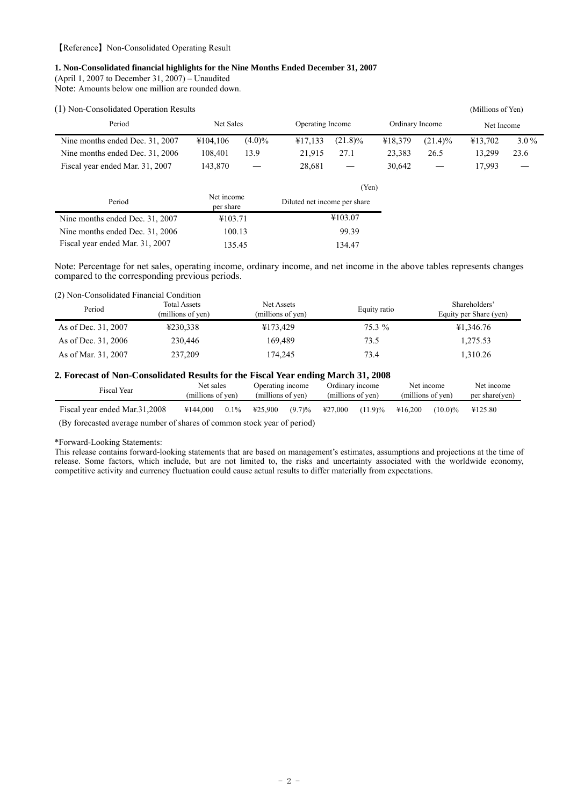#### **1. Non-Consolidated financial highlights for the Nine Months Ended December 31, 2007**

(April 1, 2007 to December 31, 2007) – Unaudited

Note: Amounts below one million are rounded down.

|  |  | (1) Non-Consolidated Operation Results |  |
|--|--|----------------------------------------|--|
|--|--|----------------------------------------|--|

| (1) Non-Consolidated Operation Results<br>(Millions of Yen) |           |           |                  |                 |                 |                 |            |         |  |
|-------------------------------------------------------------|-----------|-----------|------------------|-----------------|-----------------|-----------------|------------|---------|--|
| Period                                                      | Net Sales |           | Operating Income |                 | Ordinary Income |                 | Net Income |         |  |
| Nine months ended Dec. 31, 2007                             | ¥104.106  | $(4.0)\%$ | ¥17.133          | $(21.8)\%$      | ¥18.379         | $(21.4)\%$      | ¥13.702    | $3.0\%$ |  |
| Nine months ended Dec. 31, 2006                             | 108.401   | 13.9      | 21.915           | 27.1            | 23.383          | 26.5            | 13.299     | 23.6    |  |
| Fiscal year ended Mar. 31, 2007                             | 143.870   |           | 28.681           | $\qquad \qquad$ | 30.642          | $\qquad \qquad$ | 17.993     |         |  |

|                                 |                         | (Yen)                        |
|---------------------------------|-------------------------|------------------------------|
| Period                          | Net income<br>per share | Diluted net income per share |
| Nine months ended Dec. 31, 2007 | ¥103.71                 | ¥103.07                      |
| Nine months ended Dec. 31, 2006 | 100.13                  | 99.39                        |
| Fiscal year ended Mar. 31, 2007 | 135.45                  | 134.47                       |

Note: Percentage for net sales, operating income, ordinary income, and net income in the above tables represents changes compared to the corresponding previous periods.

#### (2) Non-Consolidated Financial Condition

| Period              | <b>Total Assets</b><br>(millions of yen) | Net Assets<br>(millions of yen) | Equity ratio | Shareholders'<br>Equity per Share (yen) |
|---------------------|------------------------------------------|---------------------------------|--------------|-----------------------------------------|
| As of Dec. 31, 2007 | ¥230,338                                 | ¥173.429                        | 75.3 %       | ¥1,346.76                               |
| As of Dec. 31, 2006 | 230,446                                  | 169.489                         | 73.5         | 1,275.53                                |
| As of Mar. 31, 2007 | 237.209                                  | 174,245                         | 73.4         | 1,310.26                                |

#### **2. Forecast of Non-Consolidated Results for the Fiscal Year ending March 31, 2008**

| Fiscal Year                   | Net sales<br>(millions of ven) |         | Operating income<br>(millions of yen) |        | Ordinary income<br>(millions of yen) |         | Net income<br>(millions of yen) |            | Net income<br>per share(yen) |
|-------------------------------|--------------------------------|---------|---------------------------------------|--------|--------------------------------------|---------|---------------------------------|------------|------------------------------|
| Fiscal year ended Mar.31,2008 | ¥144.000                       | $0.1\%$ | ¥25.900                               | (9.7)% | ¥27.000                              | (11.9)% | ¥16.200                         | $(10.0)\%$ | ¥125.80                      |

(By forecasted average number of shares of common stock year of period)

#### \*Forward-Looking Statements:

This release contains forward-looking statements that are based on management's estimates, assumptions and projections at the time of release. Some factors, which include, but are not limited to, the risks and uncertainty associated with the worldwide economy, competitive activity and currency fluctuation could cause actual results to differ materially from expectations.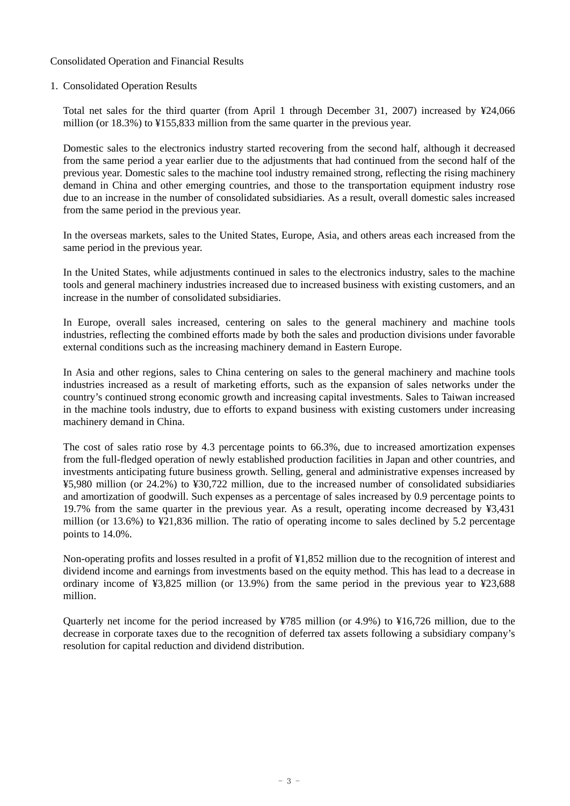# Consolidated Operation and Financial Results

## 1. Consolidated Operation Results

Total net sales for the third quarter (from April 1 through December 31, 2007) increased by ¥24,066 million (or 18.3%) to ¥155,833 million from the same quarter in the previous year.

Domestic sales to the electronics industry started recovering from the second half, although it decreased from the same period a year earlier due to the adjustments that had continued from the second half of the previous year. Domestic sales to the machine tool industry remained strong, reflecting the rising machinery demand in China and other emerging countries, and those to the transportation equipment industry rose due to an increase in the number of consolidated subsidiaries. As a result, overall domestic sales increased from the same period in the previous year.

In the overseas markets, sales to the United States, Europe, Asia, and others areas each increased from the same period in the previous year.

In the United States, while adjustments continued in sales to the electronics industry, sales to the machine tools and general machinery industries increased due to increased business with existing customers, and an increase in the number of consolidated subsidiaries.

In Europe, overall sales increased, centering on sales to the general machinery and machine tools industries, reflecting the combined efforts made by both the sales and production divisions under favorable external conditions such as the increasing machinery demand in Eastern Europe.

In Asia and other regions, sales to China centering on sales to the general machinery and machine tools industries increased as a result of marketing efforts, such as the expansion of sales networks under the country's continued strong economic growth and increasing capital investments. Sales to Taiwan increased in the machine tools industry, due to efforts to expand business with existing customers under increasing machinery demand in China.

The cost of sales ratio rose by 4.3 percentage points to 66.3%, due to increased amortization expenses from the full-fledged operation of newly established production facilities in Japan and other countries, and investments anticipating future business growth. Selling, general and administrative expenses increased by ¥5,980 million (or 24.2%) to ¥30,722 million, due to the increased number of consolidated subsidiaries and amortization of goodwill. Such expenses as a percentage of sales increased by 0.9 percentage points to 19.7% from the same quarter in the previous year. As a result, operating income decreased by ¥3,431 million (or 13.6%) to ¥21,836 million. The ratio of operating income to sales declined by 5.2 percentage points to 14.0%.

Non-operating profits and losses resulted in a profit of ¥1,852 million due to the recognition of interest and dividend income and earnings from investments based on the equity method. This has lead to a decrease in ordinary income of ¥3,825 million (or 13.9%) from the same period in the previous year to ¥23,688 million.

Quarterly net income for the period increased by ¥785 million (or 4.9%) to ¥16,726 million, due to the decrease in corporate taxes due to the recognition of deferred tax assets following a subsidiary company's resolution for capital reduction and dividend distribution.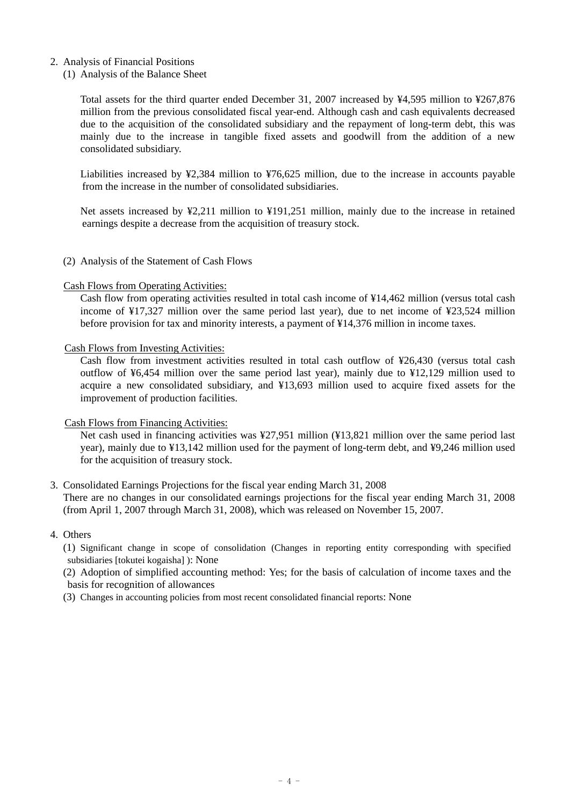# 2. Analysis of Financial Positions

(1) Analysis of the Balance Sheet

Total assets for the third quarter ended December 31, 2007 increased by ¥4,595 million to ¥267,876 million from the previous consolidated fiscal year-end. Although cash and cash equivalents decreased due to the acquisition of the consolidated subsidiary and the repayment of long-term debt, this was mainly due to the increase in tangible fixed assets and goodwill from the addition of a new consolidated subsidiary.

Liabilities increased by ¥2,384 million to ¥76,625 million, due to the increase in accounts payable from the increase in the number of consolidated subsidiaries.

Net assets increased by ¥2,211 million to ¥191,251 million, mainly due to the increase in retained earnings despite a decrease from the acquisition of treasury stock.

(2) Analysis of the Statement of Cash Flows

#### Cash Flows from Operating Activities:

Cash flow from operating activities resulted in total cash income of ¥14,462 million (versus total cash income of ¥17,327 million over the same period last year), due to net income of ¥23,524 million before provision for tax and minority interests, a payment of ¥14,376 million in income taxes.

#### Cash Flows from Investing Activities:

Cash flow from investment activities resulted in total cash outflow of ¥26,430 (versus total cash outflow of ¥6,454 million over the same period last year), mainly due to ¥12,129 million used to acquire a new consolidated subsidiary, and ¥13,693 million used to acquire fixed assets for the improvement of production facilities.

### Cash Flows from Financing Activities:

Net cash used in financing activities was ¥27,951 million (¥13,821 million over the same period last year), mainly due to ¥13,142 million used for the payment of long-term debt, and ¥9,246 million used for the acquisition of treasury stock.

### 3. Consolidated Earnings Projections for the fiscal year ending March 31, 2008

There are no changes in our consolidated earnings projections for the fiscal year ending March 31, 2008 (from April 1, 2007 through March 31, 2008), which was released on November 15, 2007.

#### 4. Others

(1) Significant change in scope of consolidation (Changes in reporting entity corresponding with specified subsidiaries [tokutei kogaisha] ): None

(2) Adoption of simplified accounting method: Yes; for the basis of calculation of income taxes and the basis for recognition of allowances

(3) Changes in accounting policies from most recent consolidated financial reports: None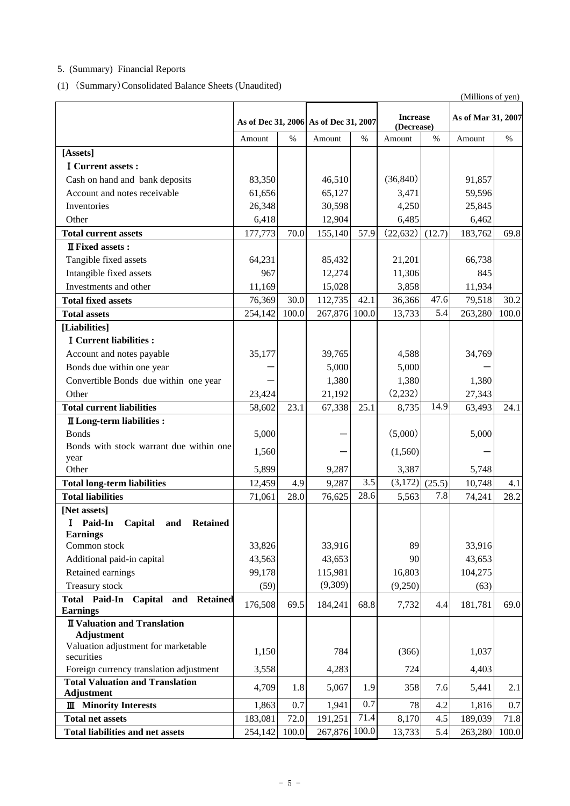# 5. (Summary) Financial Reports

(1) (Summary)Consolidated Balance Sheets (Unaudited)

(Millions of yen)

|                                                                       |         |       | As of Dec 31, 2006 As of Dec 31, 2007 |       | <b>Increase</b><br>(Decrease) |        | As of Mar 31, 2007 |       |
|-----------------------------------------------------------------------|---------|-------|---------------------------------------|-------|-------------------------------|--------|--------------------|-------|
|                                                                       | Amount  | $\%$  | Amount                                | $\%$  | Amount                        | $\%$   | Amount             | $\%$  |
| [Assets]                                                              |         |       |                                       |       |                               |        |                    |       |
| <b>I</b> Current assets :                                             |         |       |                                       |       |                               |        |                    |       |
| Cash on hand and bank deposits                                        | 83,350  |       | 46,510                                |       | (36, 840)                     |        | 91,857             |       |
| Account and notes receivable                                          | 61,656  |       | 65,127                                |       | 3,471                         |        | 59,596             |       |
| Inventories                                                           | 26,348  |       | 30,598                                |       | 4,250                         |        | 25,845             |       |
| Other                                                                 | 6,418   |       | 12,904                                |       | 6,485                         |        | 6,462              |       |
| <b>Total current assets</b>                                           | 177,773 | 70.0  | 155,140                               | 57.9  | (22, 632)                     | (12.7) | 183,762            | 69.8  |
| <b>II</b> Fixed assets :                                              |         |       |                                       |       |                               |        |                    |       |
| Tangible fixed assets                                                 | 64,231  |       | 85,432                                |       | 21,201                        |        | 66,738             |       |
| Intangible fixed assets                                               | 967     |       | 12,274                                |       | 11,306                        |        | 845                |       |
| Investments and other                                                 | 11,169  |       | 15,028                                |       | 3,858                         |        | 11,934             |       |
| <b>Total fixed assets</b>                                             | 76,369  | 30.0  | 112,735                               | 42.1  | 36,366                        | 47.6   | 79,518             | 30.2  |
| <b>Total assets</b>                                                   | 254,142 | 100.0 | 267,876                               | 100.0 | 13,733                        | 5.4    | 263,280            | 100.0 |
| [Liabilities]                                                         |         |       |                                       |       |                               |        |                    |       |
| <b>I</b> Current liabilities :                                        |         |       |                                       |       |                               |        |                    |       |
| Account and notes payable                                             | 35,177  |       | 39,765                                |       | 4,588                         |        | 34,769             |       |
| Bonds due within one year                                             |         |       | 5,000                                 |       | 5,000                         |        |                    |       |
| Convertible Bonds due within one year                                 |         |       | 1,380                                 |       | 1,380                         |        | 1,380              |       |
| Other                                                                 | 23,424  |       | 21,192                                |       | (2,232)                       |        | 27,343             |       |
| <b>Total current liabilities</b>                                      | 58,602  | 23.1  | 67,338                                | 25.1  | 8,735                         | 14.9   | 63,493             | 24.1  |
| <b>II</b> Long-term liabilities :                                     |         |       |                                       |       |                               |        |                    |       |
| <b>Bonds</b>                                                          | 5,000   |       |                                       |       | (5,000)                       |        | 5,000              |       |
| Bonds with stock warrant due within one                               |         |       |                                       |       |                               |        |                    |       |
| year                                                                  | 1,560   |       |                                       |       | (1,560)                       |        |                    |       |
| Other                                                                 | 5,899   |       | 9,287                                 |       | 3,387                         |        | 5,748              |       |
| <b>Total long-term liabilities</b>                                    | 12,459  | 4.9   | 9,287                                 | 3.5   | (3,172)                       | (25.5) | 10,748             | 4.1   |
| <b>Total liabilities</b>                                              | 71,061  | 28.0  | 76,625                                | 28.6  | 5,563                         | 7.8    | 74,241             | 28.2  |
| [Net assets]                                                          |         |       |                                       |       |                               |        |                    |       |
| I Paid-In<br>Capital<br><b>Retained</b><br>and                        |         |       |                                       |       |                               |        |                    |       |
| <b>Earnings</b>                                                       |         |       |                                       |       |                               |        |                    |       |
| Common stock                                                          | 33,826  |       | 33,916                                |       | 89                            |        | 33,916             |       |
| Additional paid-in capital                                            | 43,563  |       | 43,653                                |       | 90                            |        | 43,653             |       |
| Retained earnings                                                     | 99,178  |       | 115,981                               |       | 16,803                        |        | 104,275            |       |
| Treasury stock                                                        | (59)    |       | (9,309)                               |       | (9,250)                       |        | (63)               |       |
| Total Paid-In<br>Capital<br>and<br><b>Retained</b><br><b>Earnings</b> | 176,508 | 69.5  | 184,241                               | 68.8  | 7,732                         | 4.4    | 181,781            | 69.0  |
| <b>II</b> Valuation and Translation                                   |         |       |                                       |       |                               |        |                    |       |
| <b>Adjustment</b>                                                     |         |       |                                       |       |                               |        |                    |       |
| Valuation adjustment for marketable                                   |         |       | 784                                   |       |                               |        | 1,037              |       |
| securities                                                            | 1,150   |       |                                       |       | (366)                         |        |                    |       |
| Foreign currency translation adjustment                               | 3,558   |       | 4,283                                 |       | 724                           |        | 4,403              |       |
| <b>Total Valuation and Translation</b>                                | 4,709   | 1.8   | 5,067                                 | 1.9   | 358                           | 7.6    | 5,441              | 2.1   |
| <b>Adjustment</b>                                                     |         |       |                                       | 0.7   |                               |        |                    |       |
| <b>Minority Interests</b><br>Ш                                        | 1,863   | 0.7   | 1,941                                 | 71.4  | 78                            | 4.2    | 1,816              | 0.7   |
| <b>Total net assets</b>                                               | 183,081 | 72.0  | 191,251                               |       | 8,170                         | 4.5    | 189,039            | 71.8  |
| <b>Total liabilities and net assets</b>                               | 254,142 | 100.0 | 267,876                               | 100.0 | 13,733                        | 5.4    | 263,280            | 100.0 |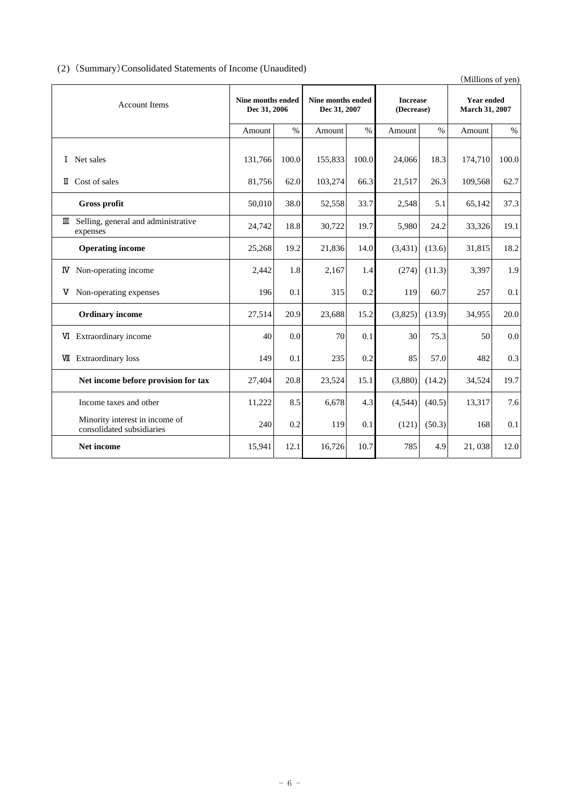# (2) (Summary)Consolidated Statements of Income (Unaudited)

|   |                                                             |                                   |       |                                          |       |                               |        | (Millions of yen)                          |       |
|---|-------------------------------------------------------------|-----------------------------------|-------|------------------------------------------|-------|-------------------------------|--------|--------------------------------------------|-------|
|   | <b>Account Items</b>                                        | Nine months ended<br>Dec 31, 2006 |       | <b>Nine months ended</b><br>Dec 31, 2007 |       | <b>Increase</b><br>(Decrease) |        | <b>Year ended</b><br><b>March 31, 2007</b> |       |
|   |                                                             | Amount                            | $\%$  | Amount                                   | $\%$  | Amount                        | $\%$   | Amount                                     | $\%$  |
|   | I Net sales                                                 | 131,766                           | 100.0 | 155,833                                  | 100.0 | 24,066                        | 18.3   | 174,710                                    | 100.0 |
|   | <b>II</b> Cost of sales                                     | 81,756                            | 62.0  | 103,274                                  | 66.3  | 21,517                        | 26.3   | 109,568                                    | 62.7  |
|   | <b>Gross profit</b>                                         | 50,010                            | 38.0  | 52,558                                   | 33.7  | 2,548                         | 5.1    | 65,142                                     | 37.3  |
|   | III Selling, general and administrative<br>expenses         | 24,742                            | 18.8  | 30,722                                   | 19.7  | 5,980                         | 24.2   | 33,326                                     | 19.1  |
|   | <b>Operating income</b>                                     | 25,268                            | 19.2  | 21,836                                   | 14.0  | (3,431)                       | (13.6) | 31,815                                     | 18.2  |
|   | <b>IV</b> Non-operating income                              | 2,442                             | 1.8   | 2,167                                    | 1.4   | (274)                         | (11.3) | 3,397                                      | 1.9   |
| v | Non-operating expenses                                      | 196                               | 0.1   | 315                                      | 0.2   | 119                           | 60.7   | 257                                        | 0.1   |
|   | <b>Ordinary income</b>                                      | 27,514                            | 20.9  | 23,688                                   | 15.2  | (3,825)                       | (13.9) | 34,955                                     | 20.0  |
|   | VI Extraordinary income                                     | 40                                | 0.0   | 70                                       | 0.1   | 30                            | 75.3   | 50                                         | 0.0   |
|   | <b>VII</b> Extraordinary loss                               | 149                               | 0.1   | 235                                      | 0.2   | 85                            | 57.0   | 482                                        | 0.3   |
|   | Net income before provision for tax                         | 27,404                            | 20.8  | 23,524                                   | 15.1  | (3,880)                       | (14.2) | 34,524                                     | 19.7  |
|   | Income taxes and other                                      | 11,222                            | 8.5   | 6,678                                    | 4.3   | (4, 544)                      | (40.5) | 13,317                                     | 7.6   |
|   | Minority interest in income of<br>consolidated subsidiaries | 240                               | 0.2   | 119                                      | 0.1   | (121)                         | (50.3) | 168                                        | 0.1   |
|   | Net income                                                  | 15,941                            | 12.1  | 16,726                                   | 10.7  | 785                           | 4.9    | 21,038                                     | 12.0  |
|   |                                                             |                                   |       |                                          |       |                               |        |                                            |       |